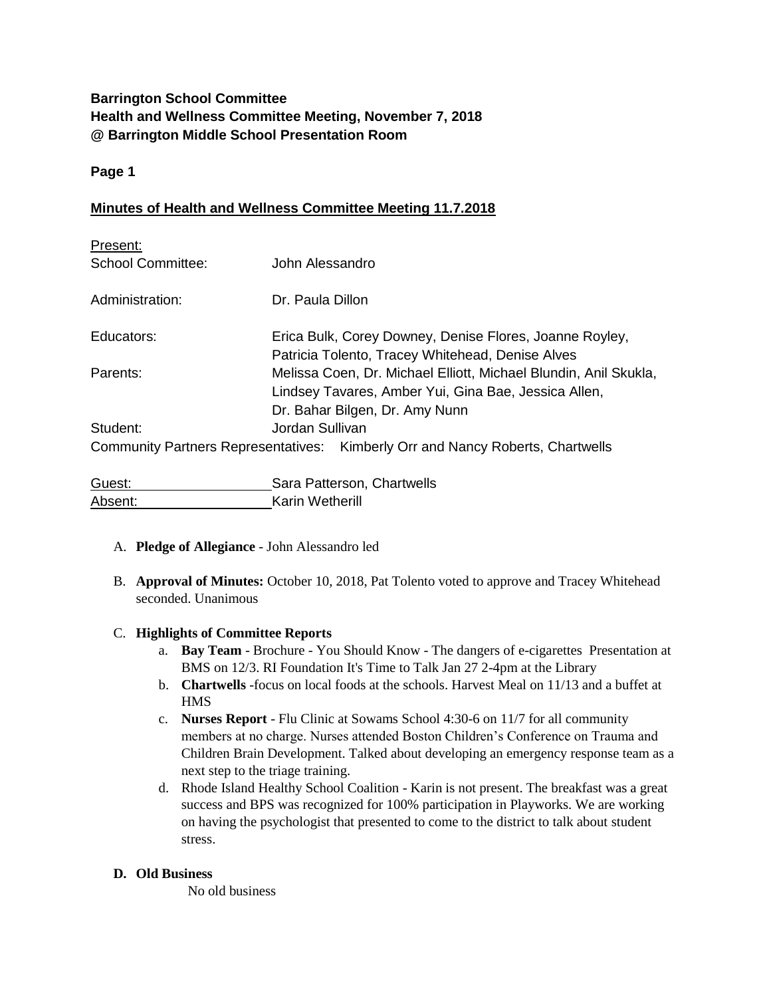## **Barrington School Committee Health and Wellness Committee Meeting, November 7, 2018 @ Barrington Middle School Presentation Room**

## **Page 1**

## **Minutes of Health and Wellness Committee Meeting 11.7.2018**

| Present:                 |                                                                                                                                                            |
|--------------------------|------------------------------------------------------------------------------------------------------------------------------------------------------------|
| <b>School Committee:</b> | John Alessandro                                                                                                                                            |
| Administration:          | Dr. Paula Dillon                                                                                                                                           |
| Educators:               | Erica Bulk, Corey Downey, Denise Flores, Joanne Royley,<br>Patricia Tolento, Tracey Whitehead, Denise Alves                                                |
| Parents:                 | Melissa Coen, Dr. Michael Elliott, Michael Blundin, Anil Skukla,<br>Lindsey Tavares, Amber Yui, Gina Bae, Jessica Allen,<br>Dr. Bahar Bilgen, Dr. Amy Nunn |
| Student:                 | Jordan Sullivan                                                                                                                                            |
|                          | Community Partners Representatives: Kimberly Orr and Nancy Roberts, Chartwells                                                                             |
| Guest:                   | Sara Patterson, Chartwells                                                                                                                                 |

# A. **Pledge of Allegiance** - John Alessandro led

Absent: Karin Wetherill

B. **Approval of Minutes:** October 10, 2018, Pat Tolento voted to approve and Tracey Whitehead seconded. Unanimous

#### C. **Highlights of Committee Reports**

- a. **Bay Team** Brochure You Should Know The dangers of e-cigarettes Presentation at BMS on 12/3. RI Foundation It's Time to Talk Jan 27 2-4pm at the Library
- b. **Chartwells** -focus on local foods at the schools. Harvest Meal on 11/13 and a buffet at HMS
- c. **Nurses Report** Flu Clinic at Sowams School 4:30-6 on 11/7 for all community members at no charge. Nurses attended Boston Children's Conference on Trauma and Children Brain Development. Talked about developing an emergency response team as a next step to the triage training.
- d. Rhode Island Healthy School Coalition Karin is not present. The breakfast was a great success and BPS was recognized for 100% participation in Playworks. We are working on having the psychologist that presented to come to the district to talk about student stress.

#### **D. Old Business**

No old business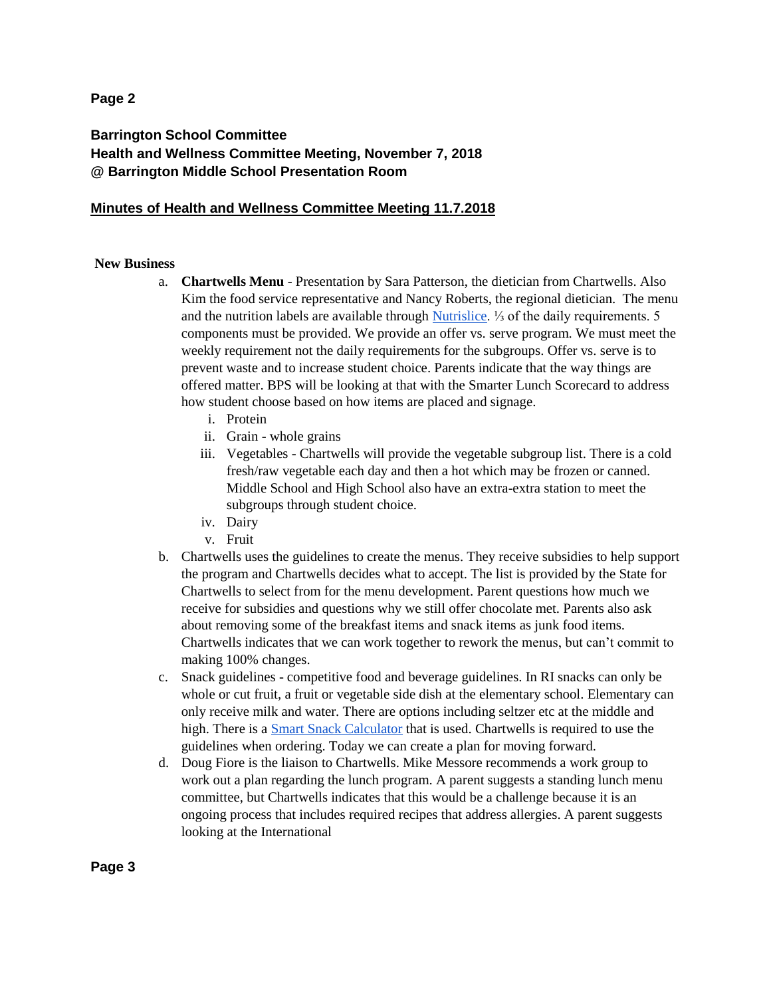#### **Page 2**

## **Barrington School Committee Health and Wellness Committee Meeting, November 7, 2018 @ Barrington Middle School Presentation Room**

#### **Minutes of Health and Wellness Committee Meeting 11.7.2018**

#### **New Business**

- a. **Chartwells Menu** Presentation by Sara Patterson, the dietician from Chartwells. Also Kim the food service representative and Nancy Roberts, the regional dietician. The menu and the nutrition labels are available through [Nutrislice.](https://barringtonschools.nutrislice.com/) ⅓ of the daily requirements. 5 components must be provided. We provide an offer vs. serve program. We must meet the weekly requirement not the daily requirements for the subgroups. Offer vs. serve is to prevent waste and to increase student choice. Parents indicate that the way things are offered matter. BPS will be looking at that with the Smarter Lunch Scorecard to address how student choose based on how items are placed and signage.
	- i. Protein
	- ii. Grain whole grains
	- iii. Vegetables Chartwells will provide the vegetable subgroup list. There is a cold fresh/raw vegetable each day and then a hot which may be frozen or canned. Middle School and High School also have an extra-extra station to meet the subgroups through student choice.
	- iv. Dairy
	- v. Fruit
- b. Chartwells uses the guidelines to create the menus. They receive subsidies to help support the program and Chartwells decides what to accept. The list is provided by the State for Chartwells to select from for the menu development. Parent questions how much we receive for subsidies and questions why we still offer chocolate met. Parents also ask about removing some of the breakfast items and snack items as junk food items. Chartwells indicates that we can work together to rework the menus, but can't commit to making 100% changes.
- c. Snack guidelines competitive food and beverage guidelines. In RI snacks can only be whole or cut fruit, a fruit or vegetable side dish at the elementary school. Elementary can only receive milk and water. There are options including seltzer etc at the middle and high. There is a [Smart Snack Calculator](https://foodplanner.healthiergeneration.org/calculator/) that is used. Chartwells is required to use the guidelines when ordering. Today we can create a plan for moving forward.
- d. Doug Fiore is the liaison to Chartwells. Mike Messore recommends a work group to work out a plan regarding the lunch program. A parent suggests a standing lunch menu committee, but Chartwells indicates that this would be a challenge because it is an ongoing process that includes required recipes that address allergies. A parent suggests looking at the International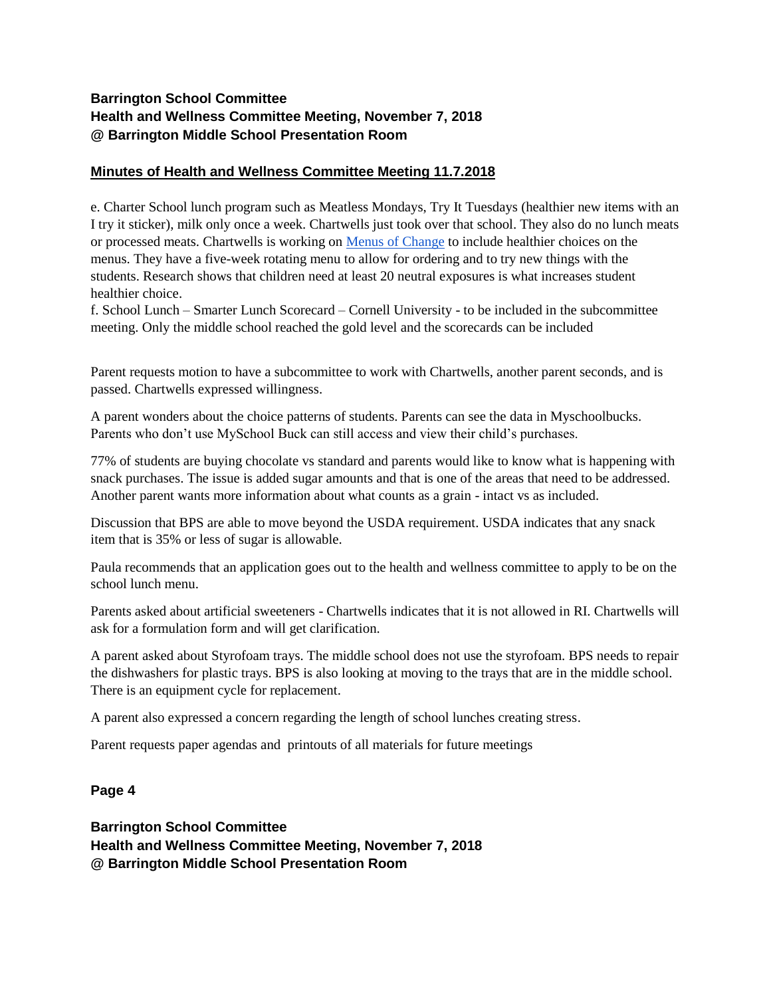## **Barrington School Committee Health and Wellness Committee Meeting, November 7, 2018 @ Barrington Middle School Presentation Room**

## **Minutes of Health and Wellness Committee Meeting 11.7.2018**

e. Charter School lunch program such as Meatless Mondays, Try It Tuesdays (healthier new items with an I try it sticker), milk only once a week. Chartwells just took over that school. They also do no lunch meats or processed meats. Chartwells is working on [Menus of Change](http://www.menusofchange.org/) to include healthier choices on the menus. They have a five-week rotating menu to allow for ordering and to try new things with the students. Research shows that children need at least 20 neutral exposures is what increases student healthier choice.

f. School Lunch – Smarter Lunch Scorecard – Cornell University - to be included in the subcommittee meeting. Only the middle school reached the gold level and the scorecards can be included

Parent requests motion to have a subcommittee to work with Chartwells, another parent seconds, and is passed. Chartwells expressed willingness.

A parent wonders about the choice patterns of students. Parents can see the data in Myschoolbucks. Parents who don't use MySchool Buck can still access and view their child's purchases.

77% of students are buying chocolate vs standard and parents would like to know what is happening with snack purchases. The issue is added sugar amounts and that is one of the areas that need to be addressed. Another parent wants more information about what counts as a grain - intact vs as included.

Discussion that BPS are able to move beyond the USDA requirement. USDA indicates that any snack item that is 35% or less of sugar is allowable.

Paula recommends that an application goes out to the health and wellness committee to apply to be on the school lunch menu.

Parents asked about artificial sweeteners - Chartwells indicates that it is not allowed in RI. Chartwells will ask for a formulation form and will get clarification.

A parent asked about Styrofoam trays. The middle school does not use the styrofoam. BPS needs to repair the dishwashers for plastic trays. BPS is also looking at moving to the trays that are in the middle school. There is an equipment cycle for replacement.

A parent also expressed a concern regarding the length of school lunches creating stress.

Parent requests paper agendas and printouts of all materials for future meetings

#### **Page 4**

**Barrington School Committee Health and Wellness Committee Meeting, November 7, 2018 @ Barrington Middle School Presentation Room**